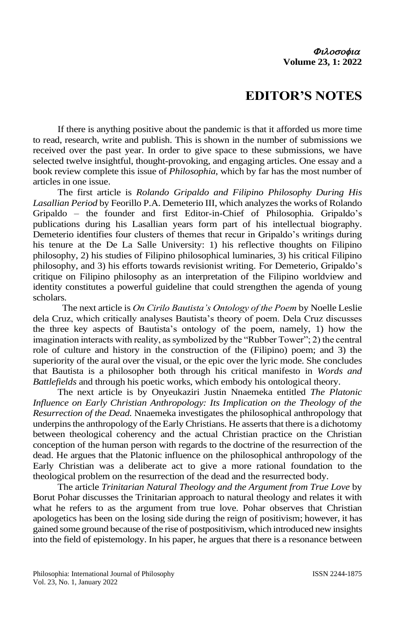## **EDITOR'S NOTES**

If there is anything positive about the pandemic is that it afforded us more time to read, research, write and publish. This is shown in the number of submissions we received over the past year. In order to give space to these submissions, we have selected twelve insightful, thought-provoking, and engaging articles. One essay and a book review complete this issue of *Philosophia*, which by far has the most number of articles in one issue.

The first article is *Rolando Gripaldo and Filipino Philosophy During His Lasallian Period* by Feorillo P.A. Demeterio III, which analyzes the works of Rolando Gripaldo – the founder and first Editor-in-Chief of Philosophia. Gripaldo's publications during his Lasallian years form part of his intellectual biography. Demeterio identifies four clusters of themes that recur in Gripaldo's writings during his tenure at the De La Salle University: 1) his reflective thoughts on Filipino philosophy, 2) his studies of Filipino philosophical luminaries, 3) his critical Filipino philosophy, and 3) his efforts towards revisionist writing. For Demeterio, Gripaldo's critique on Filipino philosophy as an interpretation of the Filipino worldview and identity constitutes a powerful guideline that could strengthen the agenda of young scholars.

 The next article is *On Cirilo Bautista's Ontology of the Poem* by Noelle Leslie dela Cruz, which critically analyses Bautista's theory of poem. Dela Cruz discusses the three key aspects of Bautista's ontology of the poem, namely, 1) how the imagination interacts with reality, as symbolized by the "Rubber Tower"; 2) the central role of culture and history in the construction of the (Filipino) poem; and 3) the superiority of the aural over the visual, or the epic over the lyric mode. She concludes that Bautista is a philosopher both through his critical manifesto in *Words and Battlefields* and through his poetic works, which embody his ontological theory.

The next article is by Onyeukaziri Justin Nnaemeka entitled *The Platonic Influence on Early Christian Anthropology: Its Implication on the Theology of the Resurrection of the Dead.* Nnaemeka investigates the philosophical anthropology that underpins the anthropology of the Early Christians. He asserts that there is a dichotomy between theological coherency and the actual Christian practice on the Christian conception of the human person with regards to the doctrine of the resurrection of the dead. He argues that the Platonic influence on the philosophical anthropology of the Early Christian was a deliberate act to give a more rational foundation to the theological problem on the resurrection of the dead and the resurrected body.

The article *Trinitarian Natural Theology and the Argument from True Love* by Borut Pohar discusses the Trinitarian approach to natural theology and relates it with what he refers to as the argument from true love. Pohar observes that Christian apologetics has been on the losing side during the reign of positivism; however, it has gained some ground because of the rise of postpositivism, which introduced new insights into the field of epistemology. In his paper, he argues that there is a resonance between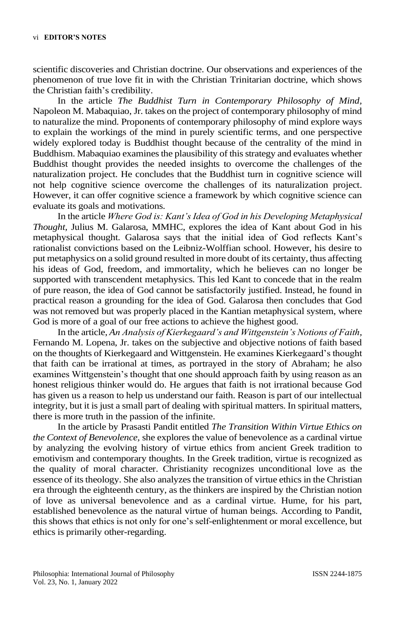scientific discoveries and Christian doctrine. Our observations and experiences of the phenomenon of true love fit in with the Christian Trinitarian doctrine, which shows the Christian faith's credibility.

In the article *The Buddhist Turn in Contemporary Philosophy of Mind,*  Napoleon M. Mabaquiao, Jr. takes on the project of contemporary philosophy of mind to naturalize the mind. Proponents of contemporary philosophy of mind explore ways to explain the workings of the mind in purely scientific terms, and one perspective widely explored today is Buddhist thought because of the centrality of the mind in Buddhism. Mabaquiao examines the plausibility of this strategy and evaluates whether Buddhist thought provides the needed insights to overcome the challenges of the naturalization project. He concludes that the Buddhist turn in cognitive science will not help cognitive science overcome the challenges of its naturalization project. However, it can offer cognitive science a framework by which cognitive science can evaluate its goals and motivations.

In the article *Where God is: Kant's Idea of God in his Developing Metaphysical Thought,* Julius M. Galarosa, MMHC, explores the idea of Kant about God in his metaphysical thought. Galarosa says that the initial idea of God reflects Kant's rationalist convictions based on the Leibniz-Wolffian school. However, his desire to put metaphysics on a solid ground resulted in more doubt of its certainty, thus affecting his ideas of God, freedom, and immortality, which he believes can no longer be supported with transcendent metaphysics. This led Kant to concede that in the realm of pure reason, the idea of God cannot be satisfactorily justified. Instead, he found in practical reason a grounding for the idea of God. Galarosa then concludes that God was not removed but was properly placed in the Kantian metaphysical system, where God is more of a goal of our free actions to achieve the highest good.

In the article, *An Analysis of Kierkegaard's and Wittgenstein's Notions of Faith,* Fernando M. Lopena, Jr. takes on the subjective and objective notions of faith based on the thoughts of Kierkegaard and Wittgenstein. He examines Kierkegaard's thought that faith can be irrational at times, as portrayed in the story of Abraham; he also examines Wittgenstein's thought that one should approach faith by using reason as an honest religious thinker would do. He argues that faith is not irrational because God has given us a reason to help us understand our faith. Reason is part of our intellectual integrity, but it is just a small part of dealing with spiritual matters. In spiritual matters, there is more truth in the passion of the infinite.

In the article by Prasasti Pandit entitled *The Transition Within Virtue Ethics on the Context of Benevolence,* she explores the value of benevolence as a cardinal virtue by analyzing the evolving history of virtue ethics from ancient Greek tradition to emotivism and contemporary thoughts. In the Greek tradition, virtue is recognized as the quality of moral character. Christianity recognizes unconditional love as the essence of its theology. She also analyzes the transition of virtue ethics in the Christian era through the eighteenth century, as the thinkers are inspired by the Christian notion of love as universal benevolence and as a cardinal virtue. Hume, for his part, established benevolence as the natural virtue of human beings. According to Pandit, this shows that ethics is not only for one's self-enlightenment or moral excellence, but ethics is primarily other-regarding.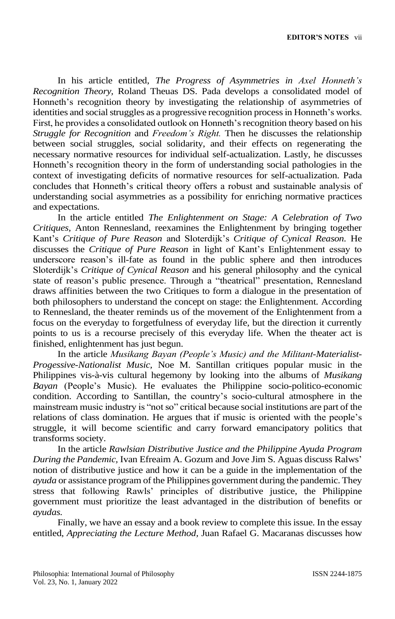In his article entitled, *The Progress of Asymmetries in Axel Honneth's Recognition Theory,* Roland Theuas DS. Pada develops a consolidated model of Honneth's recognition theory by investigating the relationship of asymmetries of identities and social struggles as a progressive recognition processin Honneth's works. First, he provides a consolidated outlook on Honneth'srecognition theory based on his *Struggle for Recognition* and *Freedom's Right.* Then he discusses the relationship between social struggles, social solidarity, and their effects on regenerating the necessary normative resources for individual self-actualization. Lastly, he discusses Honneth's recognition theory in the form of understanding social pathologies in the context of investigating deficits of normative resources for self-actualization. Pada concludes that Honneth's critical theory offers a robust and sustainable analysis of understanding social asymmetries as a possibility for enriching normative practices and expectations.

In the article entitled *The Enlightenment on Stage: A Celebration of Two Critiques,* Anton Rennesland, reexamines the Enlightenment by bringing together Kant's *Critique of Pure Reason* and Sloterdijk's *Critique of Cynical Reason.* He discusses the *Critique of Pure Reason* in light of Kant's Enlightenment essay to underscore reason's ill-fate as found in the public sphere and then introduces Sloterdijk's *Critique of Cynical Reason* and his general philosophy and the cynical state of reason's public presence. Through a "theatrical" presentation, Rennesland draws affinities between the two Critiques to form a dialogue in the presentation of both philosophers to understand the concept on stage: the Enlightenment. According to Rennesland, the theater reminds us of the movement of the Enlightenment from a focus on the everyday to forgetfulness of everyday life, but the direction it currently points to us is a recourse precisely of this everyday life. When the theater act is finished, enlightenment has just begun.

In the article *Musikang Bayan (People's Music) and the Militant-Materialist-Progessive-Nationalist Music,* Noe M. Santillan critiques popular music in the Philippines vis-à-vis cultural hegemony by looking into the albums of *Musikang Bayan* (People's Music). He evaluates the Philippine socio-politico-economic condition. According to Santillan, the country's socio-cultural atmosphere in the mainstream music industry is "not so" critical because social institutions are part of the relations of class domination. He argues that if music is oriented with the people's struggle, it will become scientific and carry forward emancipatory politics that transforms society.

In the article *Rawlsian Distributive Justice and the Philippine Ayuda Program During the Pandemic,* Ivan Efreaim A. Gozum and Jove Jim S. Aguas discuss Ralws' notion of distributive justice and how it can be a guide in the implementation of the *ayuda* or assistance program of the Philippines government during the pandemic. They stress that following Rawls' principles of distributive justice, the Philippine government must prioritize the least advantaged in the distribution of benefits or *ayudas.* 

Finally, we have an essay and a book review to complete this issue. In the essay entitled, *Appreciating the Lecture Method,* Juan Rafael G. Macaranas discusses how